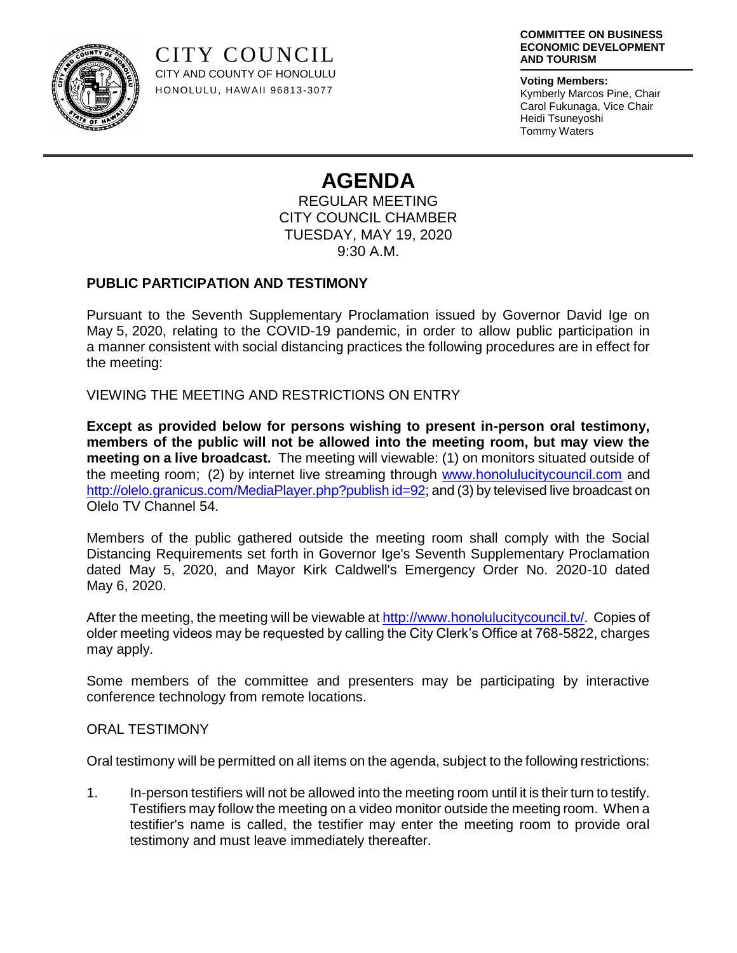

CITY COUNCIL CITY AND COUNTY OF HONOLULU HONOLULU, HAW AII 96813-3077

#### **COMMITTEE ON BUSINESS ECONOMIC DEVELOPMENT AND TOURISM**

**Voting Members:** Kymberly Marcos Pine, Chair Carol Fukunaga, Vice Chair Heidi Tsuneyoshi Tommy Waters

# **AGENDA**

REGULAR MEETING CITY COUNCIL CHAMBER TUESDAY, MAY 19, 2020 9:30 A.M.

## **PUBLIC PARTICIPATION AND TESTIMONY**

Pursuant to the Seventh Supplementary Proclamation issued by Governor David Ige on May 5, 2020, relating to the COVID-19 pandemic, in order to allow public participation in a manner consistent with social distancing practices the following procedures are in effect for the meeting:

VIEWING THE MEETING AND RESTRICTIONS ON ENTRY

**Except as provided below for persons wishing to present in-person oral testimony, members of the public will not be allowed into the meeting room, but may view the meeting on a live broadcast.** The meeting will viewable: (1) on monitors situated outside of the meeting room; (2) by internet live streaming through [www.honolulucitycouncil.com](http://www.honolulucitycouncil.com/) and [http://olelo.granicus.com/MediaPlayer.php?publish id=92;](http://olelo.granicus.com/MediaPlayer.php?publish%20id=92) and (3) by televised live broadcast on Olelo TV Channel 54.

Members of the public gathered outside the meeting room shall comply with the Social Distancing Requirements set forth in Governor Ige's Seventh Supplementary Proclamation dated May 5, 2020, and Mayor Kirk Caldwell's Emergency Order No. 2020-10 dated May 6, 2020.

After the meeting, the meeting will be viewable a[t http://www.honolulucitycouncil.tv/.](http://www.honolulucitycouncil.tv/) Copies of older meeting videos may be requested by calling the City Clerk's Office at 768-5822, charges may apply.

Some members of the committee and presenters may be participating by interactive conference technology from remote locations.

## ORAL TESTIMONY

Oral testimony will be permitted on all items on the agenda, subject to the following restrictions:

1. In-person testifiers will not be allowed into the meeting room until it is their turn to testify. Testifiers may follow the meeting on a video monitor outside the meeting room. When a testifier's name is called, the testifier may enter the meeting room to provide oral testimony and must leave immediately thereafter.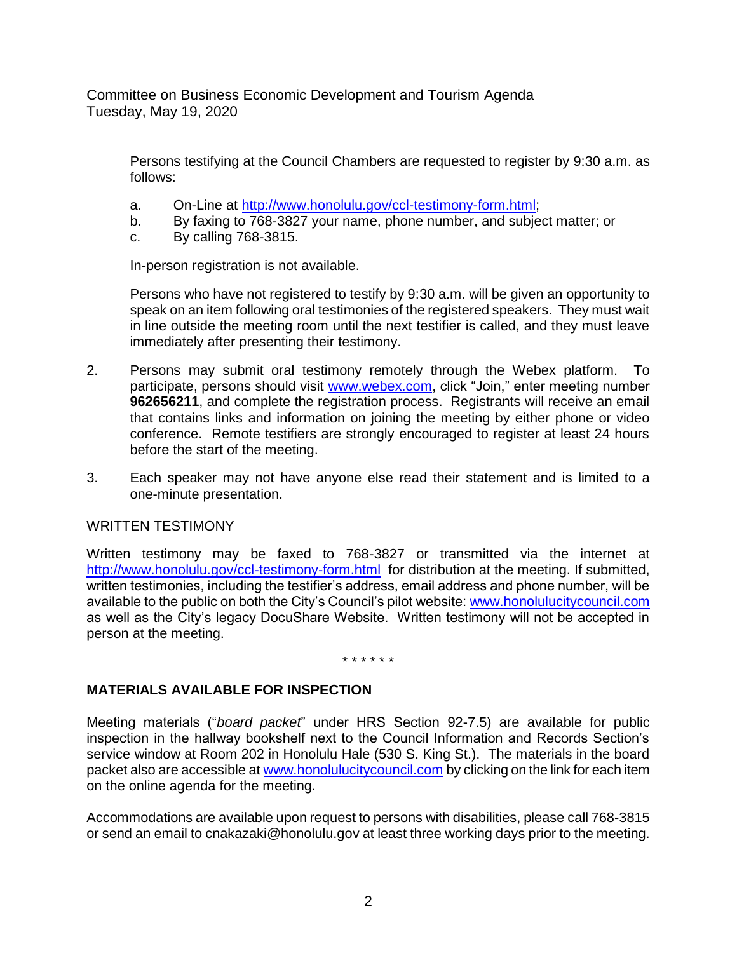Committee on Business Economic Development and Tourism Agenda Tuesday, May 19, 2020

Persons testifying at the Council Chambers are requested to register by 9:30 a.m. as follows:

- a. On-Line at [http://www.honolulu.gov/ccl-testimony-form.html;](http://www.honolulu.gov/ccl-testimony-form.html)
- b. By faxing to 768-3827 your name, phone number, and subject matter; or
- c. By calling 768-3815.

In-person registration is not available.

Persons who have not registered to testify by 9:30 a.m. will be given an opportunity to speak on an item following oral testimonies of the registered speakers. They must wait in line outside the meeting room until the next testifier is called, and they must leave immediately after presenting their testimony.

- 2. Persons may submit oral testimony remotely through the Webex platform. To participate, persons should visit [www.webex.com,](http://www.webex.com/) click "Join," enter meeting number **962656211**, and complete the registration process. Registrants will receive an email that contains links and information on joining the meeting by either phone or video conference. Remote testifiers are strongly encouraged to register at least 24 hours before the start of the meeting.
- 3. Each speaker may not have anyone else read their statement and is limited to a one-minute presentation.

### WRITTEN TESTIMONY

Written testimony may be faxed to 768-3827 or transmitted via the internet at <http://www.honolulu.gov/ccl-testimony-form.html>for distribution at the meeting. If submitted, written testimonies, including the testifier's address, email address and phone number, will be available to the public on both the City's Council's pilot website: [www.honolulucitycouncil.com](http://www.honolulucitycouncil.com/) as well as the City's legacy DocuShare Website. Written testimony will not be accepted in person at the meeting.

#### \* \* \* \* \* \*

## **MATERIALS AVAILABLE FOR INSPECTION**

Meeting materials ("*board packet*" under HRS Section 92-7.5) are available for public inspection in the hallway bookshelf next to the Council Information and Records Section's service window at Room 202 in Honolulu Hale (530 S. King St.). The materials in the board packet also are accessible a[t www.honolulucitycouncil.com](http://www.honolulucitycouncil.com/) by clicking on the link for each item on the online agenda for the meeting.

Accommodations are available upon request to persons with disabilities, please call 768-3815 or send an email to cnakazaki@honolulu.gov at least three working days prior to the meeting.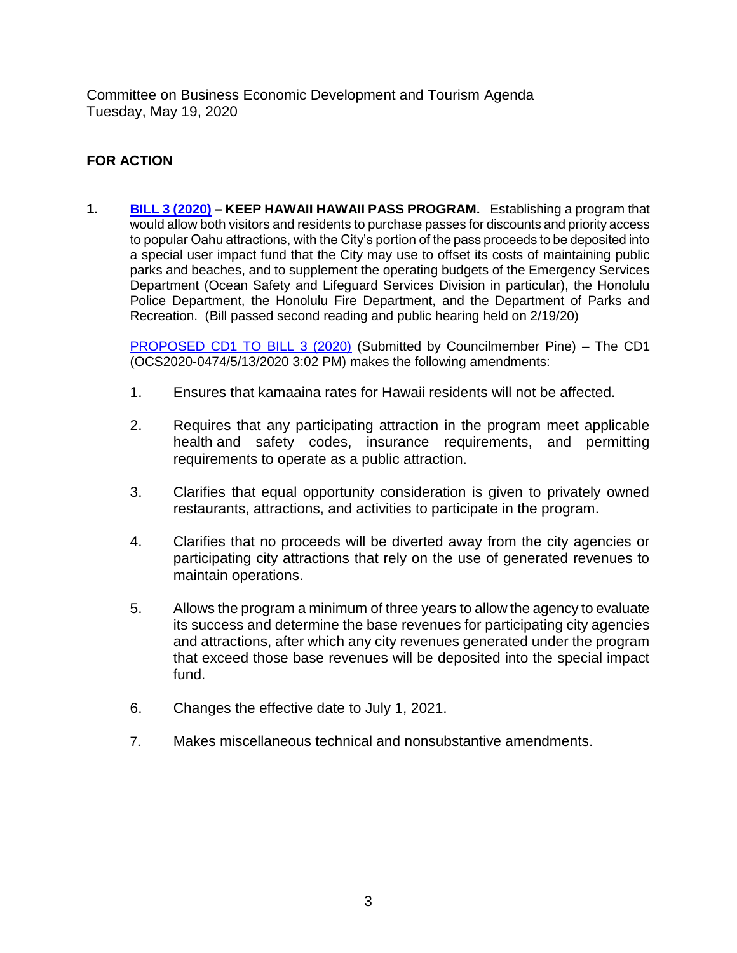Committee on Business Economic Development and Tourism Agenda Tuesday, May 19, 2020

## **FOR ACTION**

**1. [BILL 3 \(2020\)](http://www4.honolulu.gov/docushare/dsweb/Get/Document-249909/BILL003(20).pdf) – KEEP HAWAII HAWAII PASS PROGRAM.** Establishing a program that would allow both visitors and residents to purchase passes for discounts and priority access to popular Oahu attractions, with the City's portion of the pass proceeds to be deposited into a special user impact fund that the City may use to offset its costs of maintaining public parks and beaches, and to supplement the operating budgets of the Emergency Services Department (Ocean Safety and Lifeguard Services Division in particular), the Honolulu Police Department, the Honolulu Fire Department, and the Department of Parks and Recreation. (Bill passed second reading and public hearing held on 2/19/20)

[PROPOSED CD1 TO BILL 3 \(2020\)](http://www4.honolulu.gov/docushare/dsweb/Get/Document-259828/BILL003(20)%20PROPOSED%20CD11.pdf) (Submitted by Councilmember Pine) – The CD1 (OCS2020-0474/5/13/2020 3:02 PM) makes the following amendments:

- 1. Ensures that kamaaina rates for Hawaii residents will not be affected.
- 2. Requires that any participating attraction in the program meet applicable health and safety codes, insurance requirements, and permitting requirements to operate as a public attraction.
- 3. Clarifies that equal opportunity consideration is given to privately owned restaurants, attractions, and activities to participate in the program.
- 4. Clarifies that no proceeds will be diverted away from the city agencies or participating city attractions that rely on the use of generated revenues to maintain operations.
- 5. Allows the program a minimum of three years to allow the agency to evaluate its success and determine the base revenues for participating city agencies and attractions, after which any city revenues generated under the program that exceed those base revenues will be deposited into the special impact fund.
- 6. Changes the effective date to July 1, 2021.
- 7. Makes miscellaneous technical and nonsubstantive amendments.